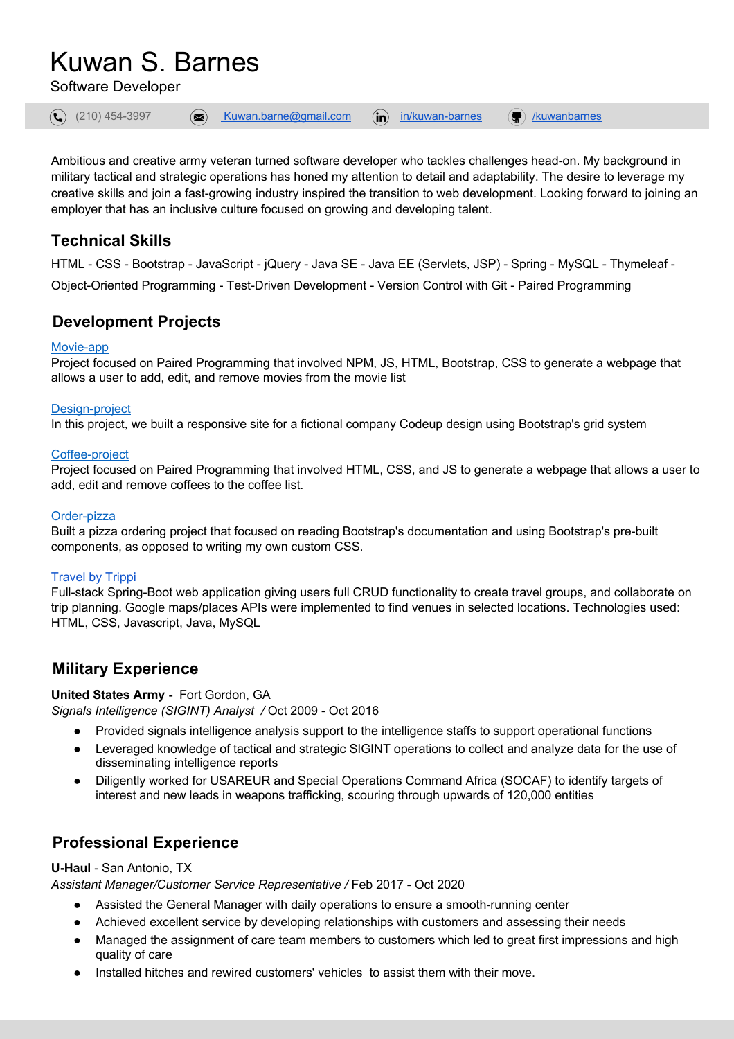# Kuwan S. Barnes

Software Developer



Ambitious and creative army veteran turned software developer who tackles challenges head-on. My background in military tactical and strategic operations has honed my attention to detail and adaptability. The desire to leverage my creative skills and join a fast-growing industry inspired the transition to web development. Looking forward to joining an employer that has an inclusive culture focused on growing and developing talent.

## **Technical Skills**

HTML - CSS - Bootstrap - JavaScript - jQuery - Java SE - Java EE (Servlets, JSP) - Spring - MySQL - Thymeleaf - Object-Oriented Programming - Test-Driven Development - Version Control with Git - Paired Programming

## **Development Projects**

#### Movie-app

Project focused on Paired Programming that involved NPM, JS, HTML, Bootstrap, CSS to generate a webpage that allows a user to add, edit, and remove movies from the movie list

#### Design-project

In this project, we built a responsive site for a fictional company Codeup design using Bootstrap's grid system

#### Coffee-project

Project focused on Paired Programming that involved HTML, CSS, and JS to generate a webpage that allows a user to add, edit and remove coffees to the coffee list.

#### Order-pizza

Built a pizza ordering project that focused on reading Bootstrap's documentation and using Bootstrap's pre-built components, as opposed to writing my own custom CSS.

#### Travel by Trippi

Full-stack Spring-Boot web application giving users full CRUD functionality to create travel groups, and collaborate on trip planning. Google maps/places APIs were implemented to find venues in selected locations. Technologies used: HTML, CSS, Javascript, Java, MySQL

## **Military Experience**

#### **United States Army -** Fort Gordon, GA

*Signals Intelligence (SIGINT) Analyst /* Oct 2009 - Oct 2016

- Provided signals intelligence analysis support to the intelligence staffs to support operational functions
- Leveraged knowledge of tactical and strategic SIGINT operations to collect and analyze data for the use of disseminating intelligence reports
- Diligently worked for USAREUR and Special Operations Command Africa (SOCAF) to identify targets of interest and new leads in weapons trafficking, scouring through upwards of 120,000 entities

## **Professional Experience**

#### **U-Haul** - San Antonio, TX

*Assistant Manager/Customer Service Representative /* Feb 2017 - Oct 2020

- Assisted the General Manager with daily operations to ensure a smooth-running center
- Achieved excellent service by developing relationships with customers and assessing their needs
- Managed the assignment of care team members to customers which led to great first impressions and high quality of care
- Installed hitches and rewired customers' vehicles to assist them with their move.